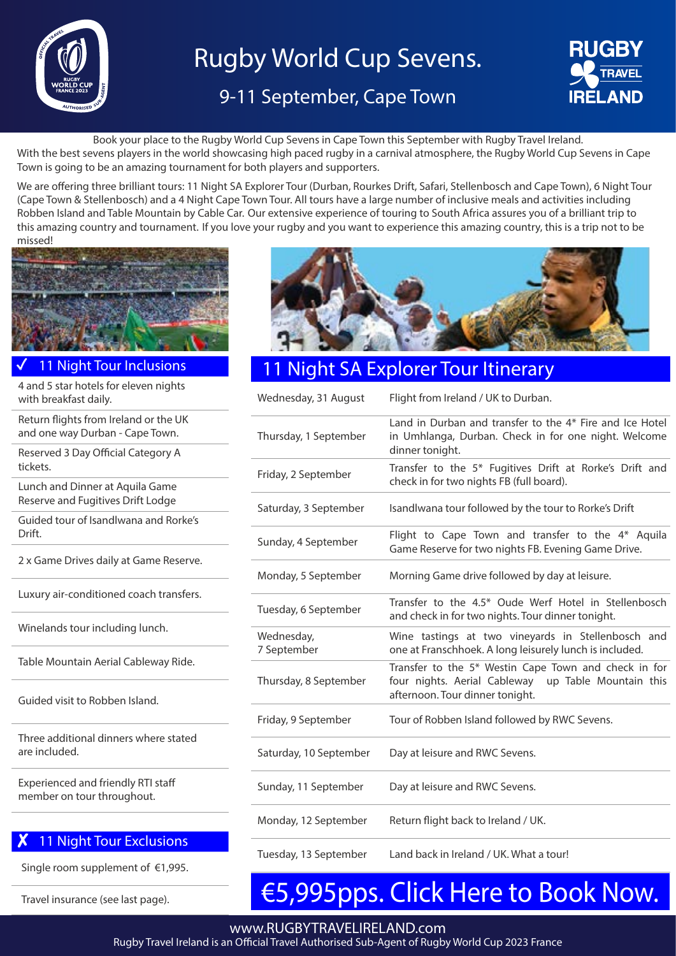

# Rugby World Cup Sevens.

## 9-11 September, Cape Town



Book your place to the Rugby World Cup Sevens in Cape Town this September with Rugby Travel Ireland.

With the best sevens players in the world showcasing high paced rugby in a carnival atmosphere, the Rugby World Cup Sevens in Cape Town is going to be an amazing tournament for both players and supporters.

We are offering three brilliant tours: 11 Night SA Explorer Tour (Durban, Rourkes Drift, Safari, Stellenbosch and Cape Town), 6 Night Tour (Cape Town & Stellenbosch) and a 4 Night Cape Town Tour. All tours have a large number of inclusive meals and activities including Robben Island and Table Mountain by Cable Car. Our extensive experience of touring to South Africa assures you of a brilliant trip to this amazing country and tournament. If you love your rugby and you want to experience this amazing country, this is a trip not to be missed!



11 Night Tour Inclusions

4 and 5 star hotels for eleven nights with breakfast daily.

Return flights from Ireland or the UK and one way Durban - Cape Town.

Reserved 3 Day Official Category A tickets.

Lunch and Dinner at Aquila Game Reserve and Fugitives Drift Lodge

Guided tour of Isandlwana and Rorke's Drift.

2 x Game Drives daily at Game Reserve.

Luxury air-conditioned coach transfers.

Winelands tour including lunch.

Table Mountain Aerial Cableway Ride.

Guided visit to Robben Island.

Three additional dinners where stated are included.

Experienced and friendly RTI staff member on tour throughout.

## 11 Night Tour Exclusions

Single room supplement of €1,995.

Travel insurance (see last page).



## **Night SA Explorer Tour Itinerary**

| Wednesday, 31 August      | Flight from Ireland / UK to Durban.                                                                                                            |
|---------------------------|------------------------------------------------------------------------------------------------------------------------------------------------|
| Thursday, 1 September     | Land in Durban and transfer to the 4* Fire and Ice Hotel<br>in Umhlanga, Durban. Check in for one night. Welcome<br>dinner tonight.            |
| Friday, 2 September       | Transfer to the 5* Fugitives Drift at Rorke's Drift and<br>check in for two nights FB (full board).                                            |
| Saturday, 3 September     | Isandlwana tour followed by the tour to Rorke's Drift                                                                                          |
| Sunday, 4 September       | Flight to Cape Town and transfer to the 4* Aquila<br>Game Reserve for two nights FB. Evening Game Drive.                                       |
| Monday, 5 September       | Morning Game drive followed by day at leisure.                                                                                                 |
| Tuesday, 6 September      | Transfer to the 4.5* Oude Werf Hotel in Stellenbosch<br>and check in for two nights. Tour dinner tonight.                                      |
| Wednesday,<br>7 September | Wine tastings at two vineyards in Stellenbosch and<br>one at Franschhoek. A long leisurely lunch is included.                                  |
| Thursday, 8 September     | Transfer to the 5* Westin Cape Town and check in for<br>four nights. Aerial Cableway up Table Mountain this<br>afternoon. Tour dinner tonight. |
| Friday, 9 September       | Tour of Robben Island followed by RWC Sevens.                                                                                                  |
| Saturday, 10 September    | Day at leisure and RWC Sevens.                                                                                                                 |
| Sunday, 11 September      | Day at leisure and RWC Sevens.                                                                                                                 |
| Monday, 12 September      | Return flight back to Ireland / UK.                                                                                                            |
| Tuesday, 13 September     | Land back in Ireland / UK. What a tour!                                                                                                        |

# [€5,995pps. Click Here to Book](https://live.tourcms.com/reserve/r1.php?t=564&a=4554&w=5474&ty=t&k=7ad1ee43e4e3) Now.

www.RUGBYTRAVELIRELAND.com

Rugby Travel Ireland is an Official Travel Authorised Sub-Agent of Rugby World Cup 2023 France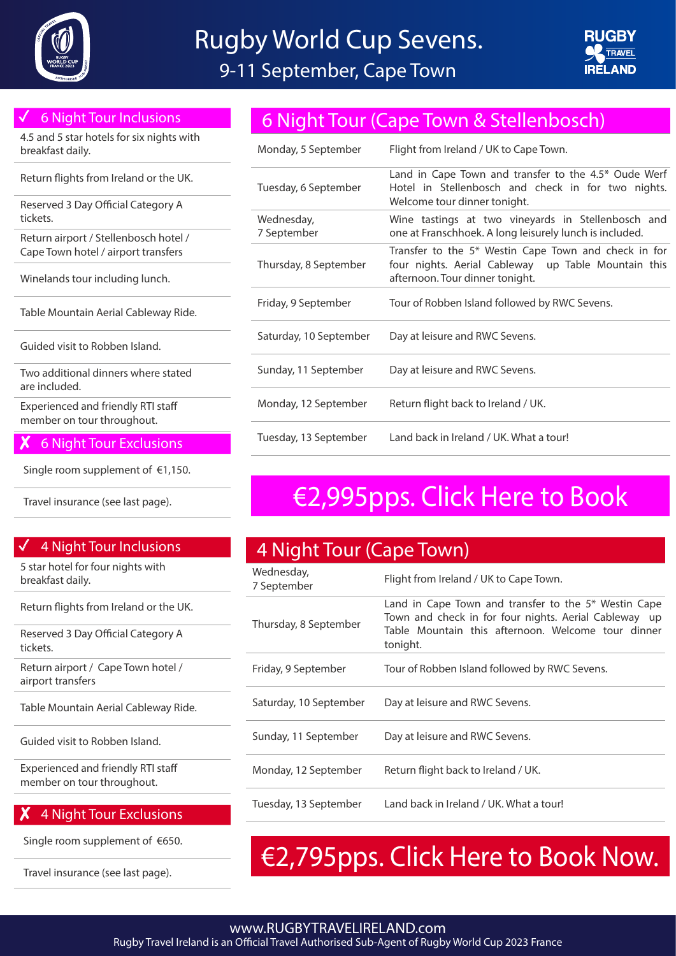



## ✓ 6 Night Tour Inclusions

4.5 and 5 star hotels for six nights with breakfast daily.

Return flights from Ireland or the UK.

Reserved 3 Day Official Category A tickets.

Return airport / Stellenbosch hotel / Cape Town hotel / airport transfers

Winelands tour including lunch.

Table Mountain Aerial Cableway Ride.

Guided visit to Robben Island.

Two additional dinners where stated are included.

Experienced and friendly RTI staff member on tour throughout.

### ✘️6 Night Tour Exclusions

Single room supplement of €1,150.

## 4 Night Tour Inclusions

5 star hotel for four nights with breakfast daily.

Return flights from Ireland or the UK.

Reserved 3 Day Official Category A tickets.

Return airport / Cape Town hotel / airport transfers

Table Mountain Aerial Cableway Ride.

Guided visit to Robben Island.

Experienced and friendly RTI staff member on tour throughout.

## ✘️4 Night Tour Exclusions

Single room supplement of €650.

# 6 Night Tour (Cape Town & Stellenbosch)

| Monday, 5 September       | Flight from Ireland / UK to Cape Town.                                                                                                         |
|---------------------------|------------------------------------------------------------------------------------------------------------------------------------------------|
| Tuesday, 6 September      | Land in Cape Town and transfer to the 4.5* Oude Werf<br>Hotel in Stellenbosch and check in for two nights.<br>Welcome tour dinner tonight.     |
| Wednesday,<br>7 September | Wine tastings at two vineyards in Stellenbosch and<br>one at Franschhoek. A long leisurely lunch is included.                                  |
| Thursday, 8 September     | Transfer to the 5* Westin Cape Town and check in for<br>four nights. Aerial Cableway up Table Mountain this<br>afternoon. Tour dinner tonight. |
| Friday, 9 September       | Tour of Robben Island followed by RWC Sevens.                                                                                                  |
| Saturday, 10 September    | Day at leisure and RWC Sevens.                                                                                                                 |
| Sunday, 11 September      | Day at leisure and RWC Sevens.                                                                                                                 |
| Monday, 12 September      | Return flight back to Ireland / UK.                                                                                                            |
| Tuesday, 13 September     | Land back in Ireland / UK. What a tour!                                                                                                        |

# Travel insurance (see last page). [€2,995pps. Click Here to Book](https://live.tourcms.com/reserve/r1.php?t=565&a=4554&w=5474&ty=t&k=2e3857dd7464)

| 4 Night Tour (Cape Town)  |                                                                                                                                                                                 |
|---------------------------|---------------------------------------------------------------------------------------------------------------------------------------------------------------------------------|
| Wednesday,<br>7 September | Flight from Ireland / UK to Cape Town.                                                                                                                                          |
| Thursday, 8 September     | Land in Cape Town and transfer to the 5* Westin Cape<br>Town and check in for four nights. Aerial Cableway up<br>Table Mountain this afternoon. Welcome tour dinner<br>tonight. |
| Friday, 9 September       | Tour of Robben Island followed by RWC Sevens.                                                                                                                                   |
| Saturday, 10 September    | Day at leisure and RWC Sevens.                                                                                                                                                  |
| Sunday, 11 September      | Day at leisure and RWC Sevens.                                                                                                                                                  |
| Monday, 12 September      | Return flight back to Ireland / UK.                                                                                                                                             |
| Tuesday, 13 September     | Land back in Ireland / UK. What a tour!                                                                                                                                         |

# Travel insurance (see last page).  $\epsilon$ 2,795pps. Click Here to Book Now.

### www.RUGBYTRAVELIRELAND.com Rugby Travel Ireland is an Official Travel Authorised Sub-Agent of Rugby World Cup 2023 France